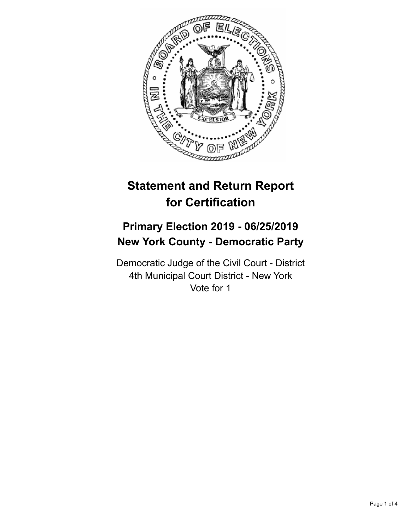

# **Statement and Return Report for Certification**

## **Primary Election 2019 - 06/25/2019 New York County - Democratic Party**

Democratic Judge of the Civil Court - District 4th Municipal Court District - New York Vote for 1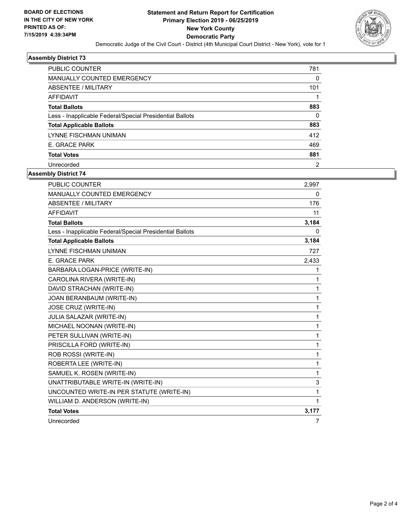

### **Assembly District 73**

| <b>PUBLIC COUNTER</b>                                    | 781            |
|----------------------------------------------------------|----------------|
| <b>MANUALLY COUNTED EMERGENCY</b>                        | 0              |
| ABSENTEE / MILITARY                                      | 101            |
| <b>AFFIDAVIT</b>                                         |                |
| <b>Total Ballots</b>                                     | 883            |
| Less - Inapplicable Federal/Special Presidential Ballots | 0              |
| <b>Total Applicable Ballots</b>                          | 883            |
| LYNNE FISCHMAN UNIMAN                                    | 412            |
| E. GRACE PARK                                            | 469            |
| <b>Total Votes</b>                                       | 881            |
| Unrecorded                                               | $\overline{2}$ |

## **Assembly District 74**

| <b>PUBLIC COUNTER</b>                                    | 2.997 |
|----------------------------------------------------------|-------|
| MANUALLY COUNTED EMERGENCY                               | 0     |
| <b>ABSENTEE / MILITARY</b>                               | 176   |
| <b>AFFIDAVIT</b>                                         | 11    |
| <b>Total Ballots</b>                                     | 3,184 |
| Less - Inapplicable Federal/Special Presidential Ballots | 0     |
| <b>Total Applicable Ballots</b>                          | 3,184 |
| LYNNE FISCHMAN UNIMAN                                    | 727   |
| E. GRACE PARK                                            | 2,433 |
| BARBARA LOGAN-PRICE (WRITE-IN)                           | 1     |
| CAROLINA RIVERA (WRITE-IN)                               | 1     |
| DAVID STRACHAN (WRITE-IN)                                | 1     |
| JOAN BERANBAUM (WRITE-IN)                                | 1     |
| JOSE CRUZ (WRITE-IN)                                     | 1     |
| <b>JULIA SALAZAR (WRITE-IN)</b>                          | 1     |
| MICHAEL NOONAN (WRITE-IN)                                | 1     |
| PETER SULLIVAN (WRITE-IN)                                | 1     |
| PRISCILLA FORD (WRITE-IN)                                | 1     |
| ROB ROSSI (WRITE-IN)                                     | 1     |
| ROBERTA LEE (WRITE-IN)                                   | 1     |
| SAMUEL K. ROSEN (WRITE-IN)                               | 1     |
| UNATTRIBUTABLE WRITE-IN (WRITE-IN)                       | 3     |
| UNCOUNTED WRITE-IN PER STATUTE (WRITE-IN)                | 1     |
| WILLIAM D. ANDERSON (WRITE-IN)                           | 1     |
| <b>Total Votes</b>                                       | 3,177 |
| Unrecorded                                               | 7     |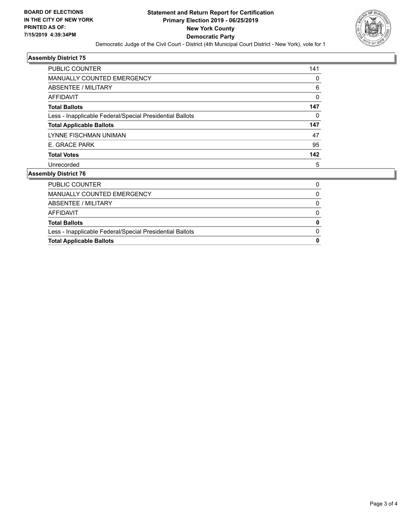

#### **Assembly District 75**

| <b>PUBLIC COUNTER</b>                                    | 141 |
|----------------------------------------------------------|-----|
| <b>MANUALLY COUNTED EMERGENCY</b>                        | 0   |
| ABSENTEE / MILITARY                                      | 6   |
| <b>AFFIDAVIT</b>                                         | 0   |
| <b>Total Ballots</b>                                     | 147 |
| Less - Inapplicable Federal/Special Presidential Ballots | 0   |
| <b>Total Applicable Ballots</b>                          | 147 |
| LYNNE FISCHMAN UNIMAN                                    | 47  |
| E. GRACE PARK                                            | 95  |
| <b>Total Votes</b>                                       | 142 |
| Unrecorded                                               | 5   |

### **Assembly District 76**

| 0 |
|---|
| 0 |
| 0 |
| 0 |
|   |
|   |
|   |
|   |